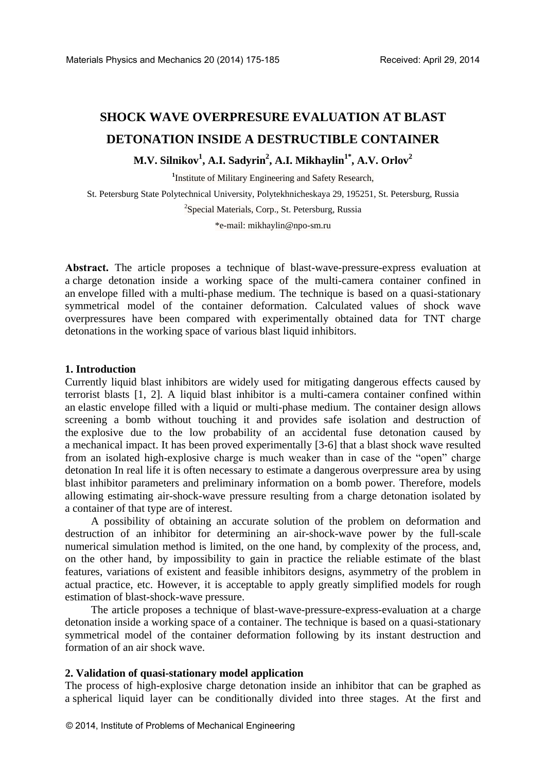# **SHOCK WAVE OVERPRESURE EVALUATION AT BLAST DETONATION INSIDE A DESTRUCTIBLE CONTAINER**

# **M.V. Silnikov<sup>1</sup> , A.I. Sadyrin<sup>2</sup> , A.I. Mikhaylin1\* , A.V. Orlov<sup>2</sup>**

<sup>1</sup>Institute of Military Engineering and Safety Research,

St. Petersburg State Polytechnical University, Polytekhnicheskaya 29, 195251, St. Petersburg, Russia

<sup>2</sup>Special Materials, Corp., St. Petersburg, Russia

\*e-mail: mikhaylin@npo-sm.ru

Abstract. The article proposes a technique of blast-wave-pressure-express evaluation at a charge detonation inside a working space of the multi-camera container confined in an envelope filled with a multi-phase medium. The technique is based on a quasi-stationary symmetrical model of the container deformation. Calculated values of shock wave overpressures have been compared with experimentally obtained data for TNT charge detonations in the working space of various blast liquid inhibitors.

# **1. Introduction**

Currently liquid blast inhibitors are widely used for mitigating dangerous effects caused by terrorist blasts [1, 2]. A liquid blast inhibitor is a multi-camera container confined within an elastic envelope filled with a liquid or multi-phase medium. The container design allows screening a bomb without touching it and provides safe isolation and destruction of the explosive due to the low probability of an accidental fuse detonation caused by a mechanical impact. It has been proved experimentally [3-6] that a blast shock wave resulted from an isolated high-explosive charge is much weaker than in case of the "open" charge detonation In real life it is often necessary to estimate a dangerous overpressure area by using blast inhibitor parameters and preliminary information on a bomb power. Therefore, models allowing estimating air-shock-wave pressure resulting from a charge detonation isolated by a container of that type are of interest.

A possibility of obtaining an accurate solution of the problem on deformation and destruction of an inhibitor for determining an air-shock-wave power by the full-scale numerical simulation method is limited, on the one hand, by complexity of the process, and, on the other hand, by impossibility to gain in practice the reliable estimate of the blast features, variations of existent and feasible inhibitors designs, asymmetry of the problem in actual practice, etc. However, it is acceptable to apply greatly simplified models for rough estimation of blast-shock-wave pressure.

The article proposes a technique of blast-wave-pressure-express-evaluation at a charge detonation inside a working space of a container. The technique is based on a quasi-stationary symmetrical model of the container deformation following by its instant destruction and formation of an air shock wave.

# **2. Validation of quasi-stationary model application**

The process of high-explosive charge detonation inside an inhibitor that can be graphed as a spherical liquid layer can be conditionally divided into three stages. At the first and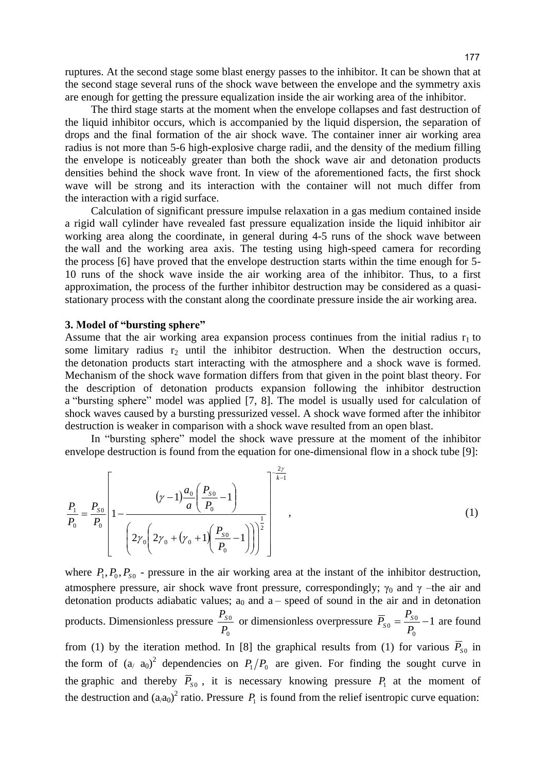ruptures. At the second stage some blast energy passes to the inhibitor. It can be shown that at the second stage several runs of the shock wave between the envelope and the symmetry axis are enough for getting the pressure equalization inside the air working area of the inhibitor.

The third stage starts at the moment when the envelope collapses and fast destruction of the liquid inhibitor occurs, which is accompanied by the liquid dispersion, the separation of drops and the final formation of the air shock wave. The container inner air working area radius is not more than 5-6 high-explosive charge radii, and the density of the medium filling the envelope is noticeably greater than both the shock wave air and detonation products densities behind the shock wave front. In view of the aforementioned facts, the first shock wave will be strong and its interaction with the container will not much differ from the interaction with a rigid surface.

Calculation of significant pressure impulse relaxation in a gas medium contained inside a rigid wall cylinder have revealed fast pressure equalization inside the liquid inhibitor air working area along the coordinate, in general during 4-5 runs of the shock wave between the wall and the working area axis. The testing using high-speed camera for recording the process [6] have proved that the envelope destruction starts within the time enough for 5- 10 runs of the shock wave inside the air working area of the inhibitor. Thus, to a first approximation, the process of the further inhibitor destruction may be considered as a quasistationary process with the constant along the coordinate pressure inside the air working area.

#### **3. Model of "bursting sphere"**

Assume that the air working area expansion process continues from the initial radius  $r_1$  to some limitary radius  $r_2$  until the inhibitor destruction. When the destruction occurs, the detonation products start interacting with the atmosphere and a shock wave is formed. Mechanism of the shock wave formation differs from that given in the point blast theory. For the description of detonation products expansion following the inhibitor destruction a "bursting sphere" model was applied [7, 8]. The model is usually used for calculation of shock waves caused by a bursting pressurized vessel. A shock wave formed after the inhibitor destruction is weaker in comparison with a shock wave resulted from an open blast.

In "bursting sphere" model the shock wave pressure at the moment of the inhibitor envelope destruction is found from the equation for one-dimensional flow in a shock tube [9]:

$$
\frac{P_1}{P_0} = \frac{P_{s0}}{P_0} \left[ 1 - \frac{(\gamma - 1)\frac{a_0}{a} \left( \frac{P_{s0}}{P_0} - 1 \right)}{\left( 2\gamma_0 \left( 2\gamma_0 + (\gamma_0 + 1)\left( \frac{P_{s0}}{P_0} - 1 \right) \right) \right)^{\frac{1}{2}}} \right] \qquad (1)
$$

where  $P_1, P_0, P_{s0}$  - pressure in the air working area at the instant of the inhibitor destruction, atmosphere pressure, air shock wave front pressure, correspondingly;  $\gamma_0$  and  $\gamma$  –the air and detonation products adiabatic values;  $a_0$  and  $a$  – speed of sound in the air and in detonation products. Dimensionless pressure  $\mathbf{0}$ 0 *P*  $\frac{P_{S0}}{P_{S0}}$  or dimensionless overpressure  $\overline{P}_{S0} = \frac{P_{S0}}{P_{S0}} - 1$ 0  $_0 = \frac{I_{S0}}{P_0}$  $\overline{P}_{s0} = \frac{P_{s0}}{P} - 1$  are found from (1) by the iteration method. In [8] the graphical results from (1) for various  $\overline{P}_{s0}$  in the form of  $(a/a_0)^2$  dependencies on  $P_1/P_0$  are given. For finding the sought curve in the graphic and thereby  $\overline{P}_{S0}$ , it is necessary knowing pressure  $P_1$  at the moment of the destruction and  $(a_{a0})^2$  ratio. Pressure  $P_1$  is found from the relief isentropic curve equation: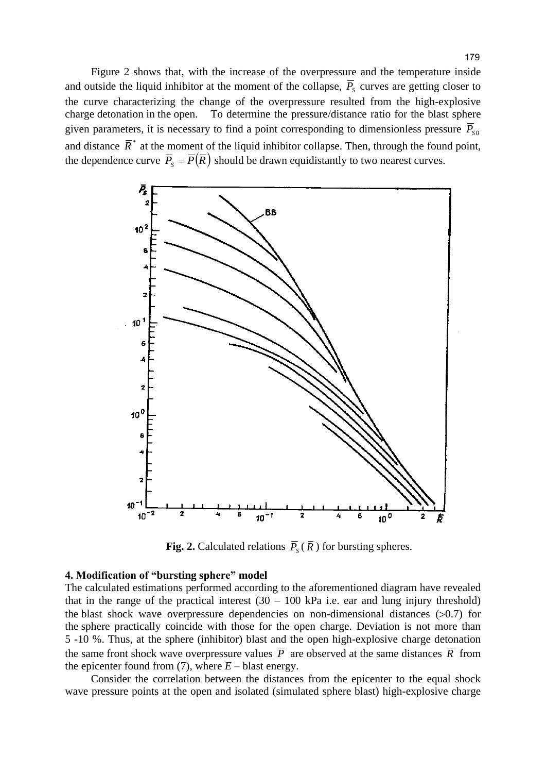Figure 2 shows that, with the increase of the overpressure and the temperature inside and outside the liquid inhibitor at the moment of the collapse,  $P<sub>S</sub>$  curves are getting closer to the curve characterizing the change of the overpressure resulted from the high-explosive charge detonation in the open. To determine the pressure/distance ratio for the blast sphere given parameters, it is necessary to find a point corresponding to dimensionless pressure  $P_{SO}$ and distance  $\overline{R}^*$  at the moment of the liquid inhibitor collapse. Then, through the found point, the dependence curve  $\overline{P}_s = \overline{P}(\overline{R})$  should be drawn equidistantly to two nearest curves.



**Fig. 2.** Calculated relations  $\overline{P}_s(R)$  for bursting spheres.

# **4. Modification of "bursting sphere" model**

The calculated estimations performed according to the aforementioned diagram have revealed that in the range of the practical interest  $(30 - 100 \text{ kPa})$  i.e. ear and lung injury threshold) the blast shock wave overpressure dependencies on non-dimensional distances  $(0.7)$  for the sphere practically coincide with those for the open charge. Deviation is not more than 5 -10 %. Thus, at the sphere (inhibitor) blast and the open high-explosive charge detonation the same front shock wave overpressure values  $P$  are observed at the same distances  $\overline{R}$  from the epicenter found from  $(7)$ , where  $E -$  blast energy.

Consider the correlation between the distances from the epicenter to the equal shock wave pressure points at the open and isolated (simulated sphere blast) high-explosive charge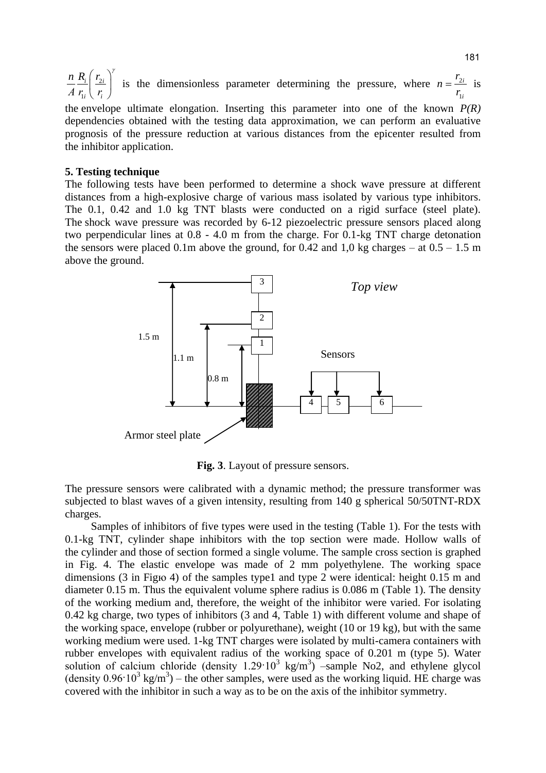2 1 *i i i i n R r*  $A \, r_{\rm i} \, \langle \, r_{\rm i} \rangle$  $\left(\frac{r_{2i}}{r_i}\right)^{\gamma}$ is the dimensionless parameter determining the pressure, where *i i r*  $n = \frac{r}{n}$ 1  $=\frac{r_{2i}}{r_{2i}}$  is

the envelope ultimate elongation. Inserting this parameter into one of the known  $P(R)$ dependencies obtained with the testing data approximation, we can perform an evaluative prognosis of the pressure reduction at various distances from the epicenter resulted from the inhibitor application.

### **5. Testing technique**

The following tests have been performed to determine a shock wave pressure at different distances from a high-explosive charge of various mass isolated by various type inhibitors. The 0.1, 0.42 and 1.0 kg TNT blasts were conducted on a rigid surface (steel plate). The shock wave pressure was recorded by 6-12 piezoelectric pressure sensors placed along two perpendicular lines at 0.8 - 4.0 m from the charge. For 0.1-kg TNT charge detonation the sensors were placed 0.1m above the ground, for 0.42 and 1,0 kg charges – at  $0.5 - 1.5$  m above the ground.



**Fig. 3**. Layout of pressure sensors.

The pressure sensors were calibrated with a dynamic method; the pressure transformer was subjected to blast waves of a given intensity, resulting from 140 g spherical 50/50TNT-RDX charges.

Samples of inhibitors of five types were used in the testing (Table 1). For the tests with 0.1-kg TNT, cylinder shape inhibitors with the top section were made. Hollow walls of the cylinder and those of section formed a single volume. The sample cross section is graphed in Fig. 4. The elastic envelope was made of 2 mm polyethylene. The working space dimensions (3 in Figю 4) of the samples type1 and type 2 were identical: height 0.15 m and diameter 0.15 m. Thus the equivalent volume sphere radius is 0.086 m (Table 1). The density of the working medium and, therefore, the weight of the inhibitor were varied. For isolating 0.42 kg charge, two types of inhibitors (3 and 4, Table 1) with different volume and shape of the working space, envelope (rubber or polyurethane), weight (10 or 19 kg), but with the same working medium were used. 1-kg TNT charges were isolated by multi-camera containers with rubber envelopes with equivalent radius of the working space of 0.201 m (type 5). Water solution of calcium chloride (density  $1.29 \cdot 10^3$  kg/m<sup>3</sup>) –sample No2, and ethylene glycol (density  $0.96 \cdot 10^3$  kg/m<sup>3</sup>) – the other samples, were used as the working liquid. HE charge was covered with the inhibitor in such a way as to be on the axis of the inhibitor symmetry.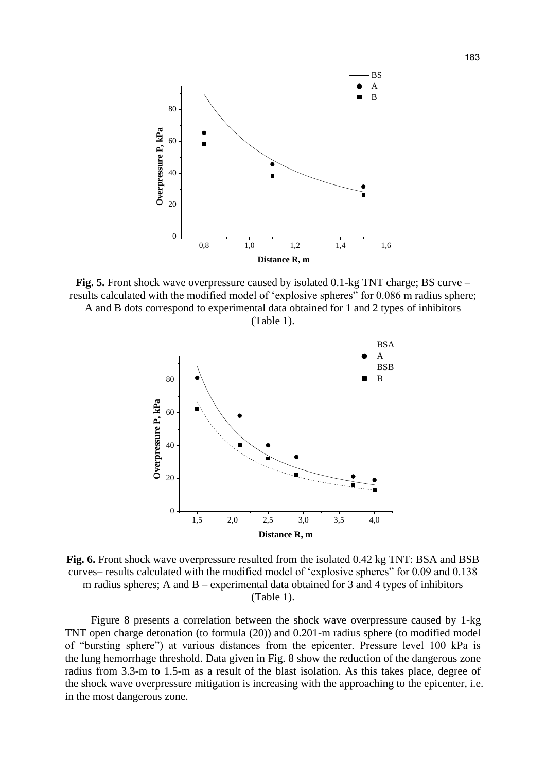

**Fig. 5.** Front shock wave overpressure caused by isolated 0.1-kg TNT charge; BS curve – results calculated with the modified model of 'explosive spheres" for 0.086 m radius sphere; A and B dots correspond to experimental data obtained for 1 and 2 types of inhibitors (Table 1).



**Fig. 6.** Front shock wave overpressure resulted from the isolated 0.42 kg TNT: BSA and BSB curves– results calculated with the modified model of 'explosive spheres" for 0.09 and 0.138 m radius spheres; A and  $B$  – experimental data obtained for 3 and 4 types of inhibitors (Table 1).

Figure 8 presents a correlation between the shock wave overpressure caused by 1-kg TNT open charge detonation (to formula (20)) and 0.201-m radius sphere (to modified model of "bursting sphere") at various distances from the epicenter. Pressure level 100 kPa is the lung hemorrhage threshold. Data given in Fig. 8 show the reduction of the dangerous zone radius from 3.3-m to 1.5-m as a result of the blast isolation. As this takes place, degree of the shock wave overpressure mitigation is increasing with the approaching to the epicenter, i.e. in the most dangerous zone.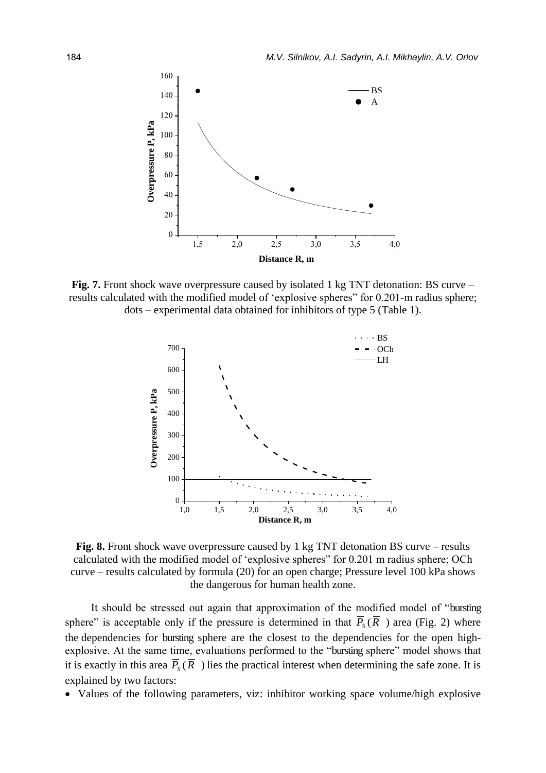

**Fig. 7.** Front shock wave overpressure caused by isolated 1 kg TNT detonation: BS curve – results calculated with the modified model of 'explosive spheres" for 0.201-m radius sphere; dots – experimental data obtained for inhibitors of type 5 (Table 1).



**Fig. 8.** Front shock wave overpressure caused by 1 kg TNT detonation BS curve – results calculated with the modified model of 'explosive spheres" for 0.201 m radius sphere; OCh curve – results calculated by formula (20) for an open charge; Pressure level 100 kPa shows the dangerous for human health zone.

It should be stressed out again that approximation of the modified model of "bursting sphere" is acceptable only if the pressure is determined in that  $\overline{P}_s(R)$  area (Fig. 2) where the dependencies for bursting sphere are the closest to the dependencies for the open highexplosive. At the same time, evaluations performed to the "bursting sphere" model shows that it is exactly in this area  $\overline{P}_s(\overline{R})$  lies the practical interest when determining the safe zone. It is explained by two factors:

• Values of the following parameters, viz: inhibitor working space volume/high explosive